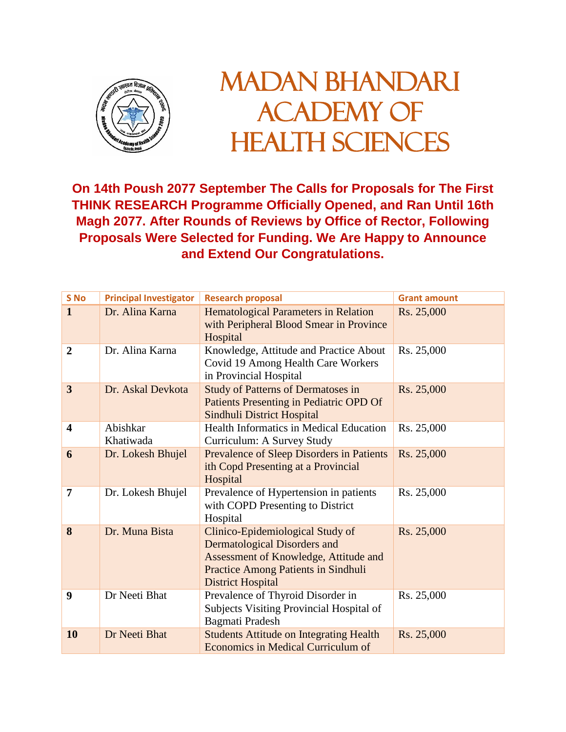

## MADAN BHANDARI ACADEMY OF HEALTH SCIENCES

**On 14th Poush 2077 September The Calls for Proposals for The First THINK RESEARCH Programme Officially Opened, and Ran Until 16th Magh 2077. After Rounds of Reviews by Office of Rector, Following Proposals Were Selected for Funding. We Are Happy to Announce and Extend Our Congratulations.**

| S No                    | <b>Principal Investigator</b> | <b>Research proposal</b>                                                                                                                                                                   | <b>Grant amount</b> |
|-------------------------|-------------------------------|--------------------------------------------------------------------------------------------------------------------------------------------------------------------------------------------|---------------------|
| $\mathbf{1}$            | Dr. Alina Karna               | <b>Hematological Parameters in Relation</b><br>with Peripheral Blood Smear in Province<br>Hospital                                                                                         | Rs. 25,000          |
| $\overline{2}$          | Dr. Alina Karna               | Knowledge, Attitude and Practice About<br>Covid 19 Among Health Care Workers<br>in Provincial Hospital                                                                                     | Rs. 25,000          |
| $\overline{3}$          | Dr. Askal Devkota             | <b>Study of Patterns of Dermatoses in</b><br>Patients Presenting in Pediatric OPD Of<br>Sindhuli District Hospital                                                                         | Rs. 25,000          |
| $\overline{\mathbf{4}}$ | Abishkar<br>Khatiwada         | <b>Health Informatics in Medical Education</b><br>Curriculum: A Survey Study                                                                                                               | Rs. 25,000          |
| 6                       | Dr. Lokesh Bhujel             | Prevalence of Sleep Disorders in Patients<br>ith Copd Presenting at a Provincial<br>Hospital                                                                                               | Rs. 25,000          |
| 7                       | Dr. Lokesh Bhujel             | Prevalence of Hypertension in patients<br>with COPD Presenting to District<br>Hospital                                                                                                     | Rs. 25,000          |
| 8                       | Dr. Muna Bista                | Clinico-Epidemiological Study of<br><b>Dermatological Disorders and</b><br>Assessment of Knowledge, Attitude and<br><b>Practice Among Patients in Sindhuli</b><br><b>District Hospital</b> | Rs. 25,000          |
| 9                       | Dr Neeti Bhat                 | Prevalence of Thyroid Disorder in<br>Subjects Visiting Provincial Hospital of<br>Bagmati Pradesh                                                                                           | Rs. 25,000          |
| 10                      | Dr Neeti Bhat                 | <b>Students Attitude on Integrating Health</b><br>Economics in Medical Curriculum of                                                                                                       | Rs. 25,000          |